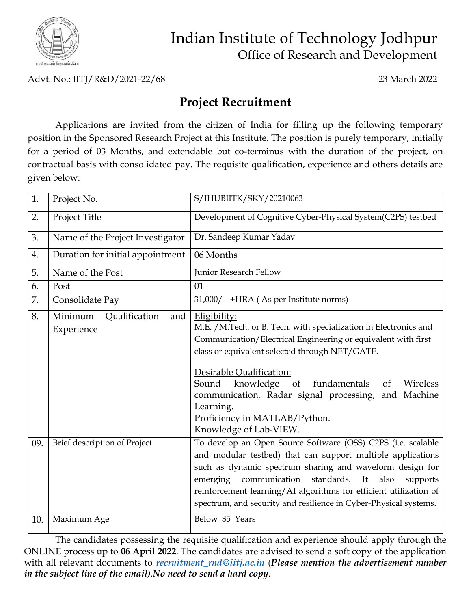

## Indian Institute of Technology Jodhpur Office of Research and Development

Advt. No.: IITJ/R&D/2021-22/68 23 March 2022

## **Project Recruitment**

Applications are invited from the citizen of India for filling up the following temporary position in the Sponsored Research Project at this Institute. The position is purely temporary, initially for a period of 03 Months, and extendable but co-terminus with the duration of the project, on contractual basis with consolidated pay. The requisite qualification, experience and others details are given below:

| 1.  | Project No.                                   | S/IHUBIITK/SKY/20210063                                                                                                                                                                                                                                                                                                                                                                                                    |
|-----|-----------------------------------------------|----------------------------------------------------------------------------------------------------------------------------------------------------------------------------------------------------------------------------------------------------------------------------------------------------------------------------------------------------------------------------------------------------------------------------|
| 2.  | Project Title                                 | Development of Cognitive Cyber-Physical System(C2PS) testbed                                                                                                                                                                                                                                                                                                                                                               |
| 3.  | Name of the Project Investigator              | Dr. Sandeep Kumar Yadav                                                                                                                                                                                                                                                                                                                                                                                                    |
| 4.  | Duration for initial appointment              | 06 Months                                                                                                                                                                                                                                                                                                                                                                                                                  |
| 5.  | Name of the Post                              | Junior Research Fellow                                                                                                                                                                                                                                                                                                                                                                                                     |
| 6.  | Post                                          | 01                                                                                                                                                                                                                                                                                                                                                                                                                         |
| 7.  | Consolidate Pay                               | 31,000/- +HRA (As per Institute norms)                                                                                                                                                                                                                                                                                                                                                                                     |
| 8.  | Minimum<br>Qualification<br>and<br>Experience | Eligibility:<br>M.E. / M.Tech. or B. Tech. with specialization in Electronics and<br>Communication/Electrical Engineering or equivalent with first<br>class or equivalent selected through NET/GATE.<br>Desirable Qualification:<br>Sound<br>knowledge of<br>fundamentals<br>Wireless<br>of<br>communication, Radar signal processing, and Machine<br>Learning.<br>Proficiency in MATLAB/Python.<br>Knowledge of Lab-VIEW. |
| 09. | Brief description of Project                  | To develop an Open Source Software (OSS) C2PS (i.e. scalable<br>and modular testbed) that can support multiple applications<br>such as dynamic spectrum sharing and waveform design for<br>communication<br>emerging<br>standards.<br>It<br>also<br>supports<br>reinforcement learning/AI algorithms for efficient utilization of<br>spectrum, and security and resilience in Cyber-Physical systems.                      |
| 10. | Maximum Age                                   | Below 35 Years                                                                                                                                                                                                                                                                                                                                                                                                             |

The candidates possessing the requisite qualification and experience should apply through the ONLINE process up to **06 April 2022**. The candidates are advised to send a soft copy of the application with all relevant documents to *[recruitment\\_rnd@iitj.ac.in](mailto:recruitment_rnd@iitj.ac.in)* (*Please mention the advertisement number in the subject line of the email).No need to send a hard copy.*